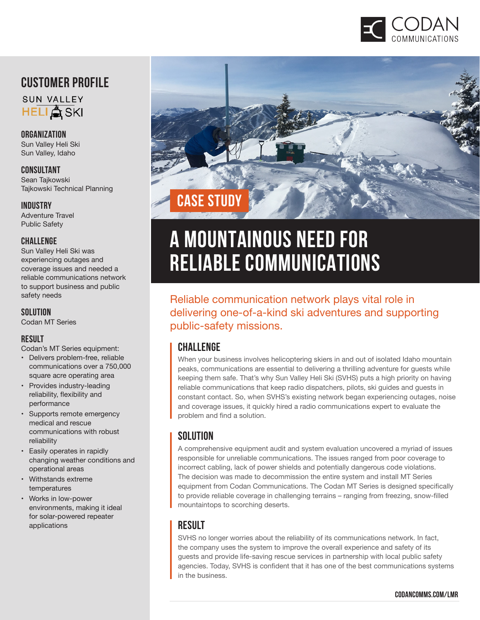

# **Customer profile**



**Organization**  Sun Valley Heli Ski Sun Valley, Idaho

**Consultant** Sean Tajkowski Tajkowski Technical Planning

#### **Industry**

Adventure Travel Public Safety

#### **Challenge**

Sun Valley Heli Ski was experiencing outages and coverage issues and needed a reliable communications network to support business and public safety needs

#### **Solution**

Codan MT Series

#### **result**

Codan's MT Series equipment:

- Delivers problem-free, reliable communications over a 750,000 square acre operating area
- Provides industry-leading reliability, flexibility and performance
- Supports remote emergency medical and rescue communications with robust reliability
- Easily operates in rapidly changing weather conditions and operational areas
- Withstands extreme temperatures
- Works in low-power environments, making it ideal for solar-powered repeater applications



# **A MOUNTAINOUS NEED FOR RELIABLE COMMUNICATIONS**

Reliable communication network plays vital role in delivering one-of-a-kind ski adventures and supporting public-safety missions.

#### **CHALLENGE**

When your business involves helicoptering skiers in and out of isolated Idaho mountain peaks, communications are essential to delivering a thrilling adventure for guests while keeping them safe. That's why Sun Valley Heli Ski (SVHS) puts a high priority on having reliable communications that keep radio dispatchers, pilots, ski guides and guests in constant contact. So, when SVHS's existing network began experiencing outages, noise and coverage issues, it quickly hired a radio communications expert to evaluate the problem and find a solution.

#### **SOLUTION**

A comprehensive equipment audit and system evaluation uncovered a myriad of issues responsible for unreliable communications. The issues ranged from poor coverage to incorrect cabling, lack of power shields and potentially dangerous code violations. The decision was made to decommission the entire system and install MT Series equipment from Codan Communications. The Codan MT Series is designed specifically to provide reliable coverage in challenging terrains – ranging from freezing, snow-filled mountaintops to scorching deserts.

#### **RESULT**

SVHS no longer worries about the reliability of its communications network. In fact, the company uses the system to improve the overall experience and safety of its guests and provide life-saving rescue services in partnership with local public safety agencies. Today, SVHS is confident that it has one of the best communications systems in the business.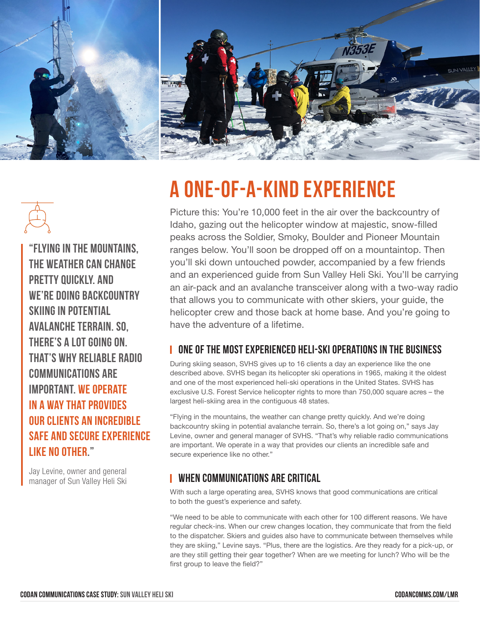

# **A One-of-a-Kind Experience**

Picture this: You're 10,000 feet in the air over the backcountry of Idaho, gazing out the helicopter window at majestic, snow-filled peaks across the Soldier, Smoky, Boulder and Pioneer Mountain ranges below. You'll soon be dropped off on a mountaintop. Then you'll ski down untouched powder, accompanied by a few friends and an experienced guide from Sun Valley Heli Ski. You'll be carrying an air-pack and an avalanche transceiver along with a two-way radio that allows you to communicate with other skiers, your guide, the helicopter crew and those back at home base. And you're going to have the adventure of a lifetime.

# **one of The Most Experienced Heli-Ski OperationS in the Business**

During skiing season, SVHS gives up to 16 clients a day an experience like the one described above. SVHS began its helicopter ski operations in 1965, making it the oldest and one of the most experienced heli-ski operations in the United States. SVHS has exclusive U.S. Forest Service helicopter rights to more than 750,000 square acres – the largest heli-skiing area in the contiguous 48 states.

"Flying in the mountains, the weather can change pretty quickly. And we're doing backcountry skiing in potential avalanche terrain. So, there's a lot going on," says Jay Levine, owner and general manager of SVHS. "That's why reliable radio communications are important. We operate in a way that provides our clients an incredible safe and secure experience like no other."

#### **When Communications are Critical**

With such a large operating area, SVHS knows that good communications are critical to both the guest's experience and safety.

"We need to be able to communicate with each other for 100 different reasons. We have regular check-ins. When our crew changes location, they communicate that from the field to the dispatcher. Skiers and guides also have to communicate between themselves while they are skiing," Levine says. "Plus, there are the logistics. Are they ready for a pick-up, or are they still getting their gear together? When are we meeting for lunch? Who will be the first group to leave the field?"



Jay Levine, owner and general manager of Sun Valley Heli Ski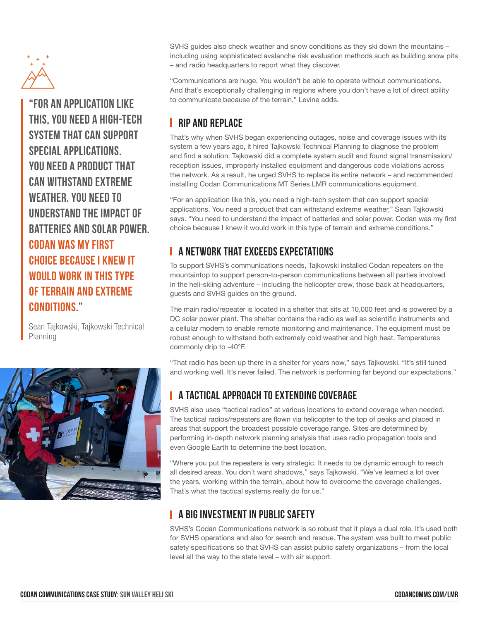

**"For an application like this, you need a high-tech system that can support special applications. You need a product that can withstand extreme weather. You need to understand the impact of batteries and solar power. Codan was my first choice because I knew it would work in this type of terrain and extreme conditions."** 

Sean Tajkowski, Tajkowski Technical Planning



SVHS guides also check weather and snow conditions as they ski down the mountains – including using sophisticated avalanche risk evaluation methods such as building snow pits – and radio headquarters to report what they discover.

"Communications are huge. You wouldn't be able to operate without communications. And that's exceptionally challenging in regions where you don't have a lot of direct ability to communicate because of the terrain," Levine adds.

### **Rip and Replace**

That's why when SVHS began experiencing outages, noise and coverage issues with its system a few years ago, it hired Tajkowski Technical Planning to diagnose the problem and find a solution. Tajkowski did a complete system audit and found signal transmission/ reception issues, improperly installed equipment and dangerous code violations across the network. As a result, he urged SVHS to replace its entire network – and recommended installing Codan Communications MT Series LMR communications equipment.

"For an application like this, you need a high-tech system that can support special applications. You need a product that can withstand extreme weather," Sean Tajkowski says. "You need to understand the impact of batteries and solar power. Codan was my first choice because I knew it would work in this type of terrain and extreme conditions."

# **A Network that Exceeds Expectations**

To support SVHS's communications needs, Tajkowski installed Codan repeaters on the mountaintop to support person-to-person communications between all parties involved in the heli-skiing adventure – including the helicopter crew, those back at headquarters, guests and SVHS guides on the ground.

The main radio/repeater is located in a shelter that sits at 10,000 feet and is powered by a DC solar power plant. The shelter contains the radio as well as scientific instruments and a cellular modem to enable remote monitoring and maintenance. The equipment must be robust enough to withstand both extremely cold weather and high heat. Temperatures commonly drip to -40°F.

"That radio has been up there in a shelter for years now," says Tajkowski. "It's still tuned and working well. It's never failed. The network is performing far beyond our expectations."

# **A Tactical Approach to Extending Coverage**

SVHS also uses "tactical radios" at various locations to extend coverage when needed. The tactical radios/repeaters are flown via helicopter to the top of peaks and placed in areas that support the broadest possible coverage range. Sites are determined by performing in-depth network planning analysis that uses radio propagation tools and even Google Earth to determine the best location.

"Where you put the repeaters is very strategic. It needs to be dynamic enough to reach all desired areas. You don't want shadows," says Tajkowski. "We've learned a lot over the years, working within the terrain, about how to overcome the coverage challenges. That's what the tactical systems really do for us."

# **A BIG INVESTMENT IN PUBLIC SAFFTY**

SVHS's Codan Communications network is so robust that it plays a dual role. It's used both for SVHS operations and also for search and rescue. The system was built to meet public safety specifications so that SVHS can assist public safety organizations – from the local level all the way to the state level – with air support.